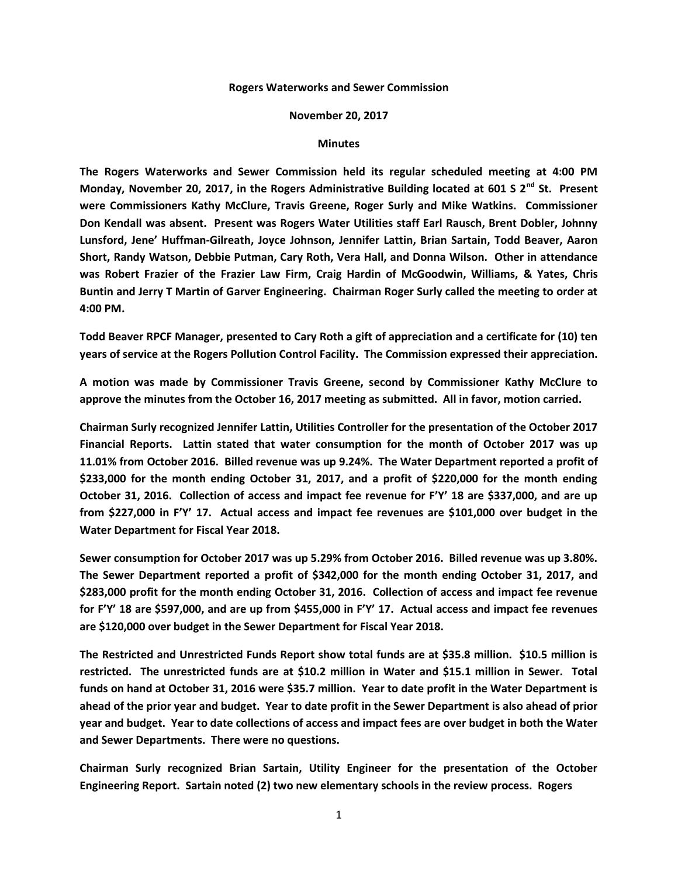## **Rogers Waterworks and Sewer Commission**

## **November 20, 2017**

## **Minutes**

**The Rogers Waterworks and Sewer Commission held its regular scheduled meeting at 4:00 PM Monday, November 20, 2017, in the Rogers Administrative Building located at 601 S 2nd St. Present were Commissioners Kathy McClure, Travis Greene, Roger Surly and Mike Watkins. Commissioner Don Kendall was absent. Present was Rogers Water Utilities staff Earl Rausch, Brent Dobler, Johnny Lunsford, Jene' Huffman-Gilreath, Joyce Johnson, Jennifer Lattin, Brian Sartain, Todd Beaver, Aaron Short, Randy Watson, Debbie Putman, Cary Roth, Vera Hall, and Donna Wilson. Other in attendance was Robert Frazier of the Frazier Law Firm, Craig Hardin of McGoodwin, Williams, & Yates, Chris Buntin and Jerry T Martin of Garver Engineering. Chairman Roger Surly called the meeting to order at 4:00 PM.**

**Todd Beaver RPCF Manager, presented to Cary Roth a gift of appreciation and a certificate for (10) ten years of service at the Rogers Pollution Control Facility. The Commission expressed their appreciation.**

**A motion was made by Commissioner Travis Greene, second by Commissioner Kathy McClure to approve the minutes from the October 16, 2017 meeting as submitted. All in favor, motion carried.**

**Chairman Surly recognized Jennifer Lattin, Utilities Controller for the presentation of the October 2017 Financial Reports. Lattin stated that water consumption for the month of October 2017 was up 11.01% from October 2016. Billed revenue was up 9.24%. The Water Department reported a profit of \$233,000 for the month ending October 31, 2017, and a profit of \$220,000 for the month ending October 31, 2016. Collection of access and impact fee revenue for F'Y' 18 are \$337,000, and are up from \$227,000 in F'Y' 17. Actual access and impact fee revenues are \$101,000 over budget in the Water Department for Fiscal Year 2018.**

**Sewer consumption for October 2017 was up 5.29% from October 2016. Billed revenue was up 3.80%. The Sewer Department reported a profit of \$342,000 for the month ending October 31, 2017, and \$283,000 profit for the month ending October 31, 2016. Collection of access and impact fee revenue for F'Y' 18 are \$597,000, and are up from \$455,000 in F'Y' 17. Actual access and impact fee revenues are \$120,000 over budget in the Sewer Department for Fiscal Year 2018.**

**The Restricted and Unrestricted Funds Report show total funds are at \$35.8 million. \$10.5 million is restricted. The unrestricted funds are at \$10.2 million in Water and \$15.1 million in Sewer. Total funds on hand at October 31, 2016 were \$35.7 million. Year to date profit in the Water Department is ahead of the prior year and budget. Year to date profit in the Sewer Department is also ahead of prior year and budget. Year to date collections of access and impact fees are over budget in both the Water and Sewer Departments. There were no questions.**

**Chairman Surly recognized Brian Sartain, Utility Engineer for the presentation of the October Engineering Report. Sartain noted (2) two new elementary schools in the review process. Rogers**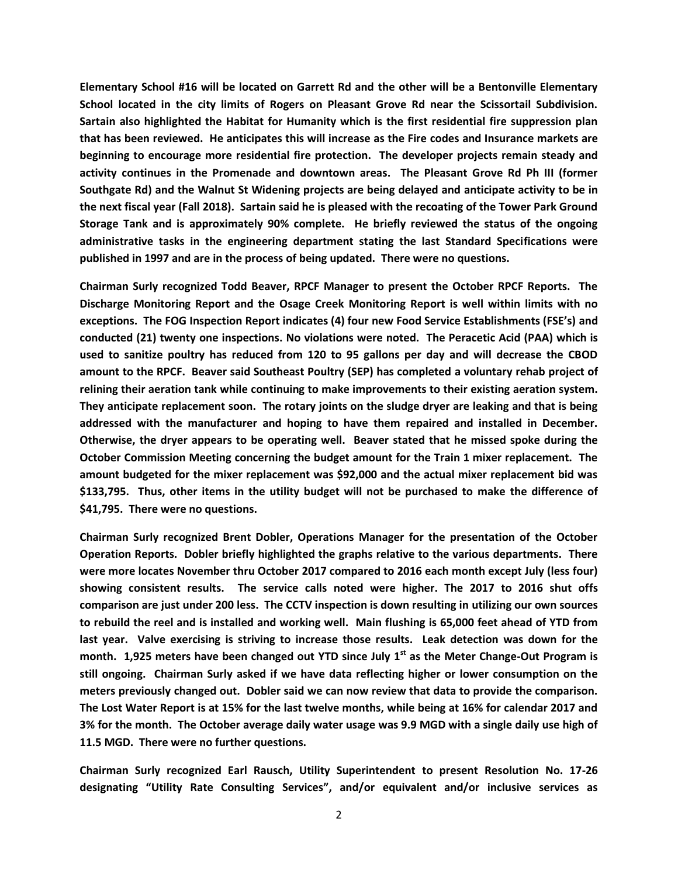**Elementary School #16 will be located on Garrett Rd and the other will be a Bentonville Elementary School located in the city limits of Rogers on Pleasant Grove Rd near the Scissortail Subdivision. Sartain also highlighted the Habitat for Humanity which is the first residential fire suppression plan that has been reviewed. He anticipates this will increase as the Fire codes and Insurance markets are beginning to encourage more residential fire protection. The developer projects remain steady and activity continues in the Promenade and downtown areas. The Pleasant Grove Rd Ph III (former Southgate Rd) and the Walnut St Widening projects are being delayed and anticipate activity to be in the next fiscal year (Fall 2018). Sartain said he is pleased with the recoating of the Tower Park Ground Storage Tank and is approximately 90% complete. He briefly reviewed the status of the ongoing administrative tasks in the engineering department stating the last Standard Specifications were published in 1997 and are in the process of being updated. There were no questions.**

**Chairman Surly recognized Todd Beaver, RPCF Manager to present the October RPCF Reports. The Discharge Monitoring Report and the Osage Creek Monitoring Report is well within limits with no exceptions. The FOG Inspection Report indicates (4) four new Food Service Establishments (FSE's) and conducted (21) twenty one inspections. No violations were noted. The Peracetic Acid (PAA) which is used to sanitize poultry has reduced from 120 to 95 gallons per day and will decrease the CBOD amount to the RPCF. Beaver said Southeast Poultry (SEP) has completed a voluntary rehab project of relining their aeration tank while continuing to make improvements to their existing aeration system. They anticipate replacement soon. The rotary joints on the sludge dryer are leaking and that is being addressed with the manufacturer and hoping to have them repaired and installed in December. Otherwise, the dryer appears to be operating well. Beaver stated that he missed spoke during the October Commission Meeting concerning the budget amount for the Train 1 mixer replacement. The amount budgeted for the mixer replacement was \$92,000 and the actual mixer replacement bid was \$133,795. Thus, other items in the utility budget will not be purchased to make the difference of \$41,795. There were no questions.**

**Chairman Surly recognized Brent Dobler, Operations Manager for the presentation of the October Operation Reports. Dobler briefly highlighted the graphs relative to the various departments. There were more locates November thru October 2017 compared to 2016 each month except July (less four) showing consistent results. The service calls noted were higher. The 2017 to 2016 shut offs comparison are just under 200 less. The CCTV inspection is down resulting in utilizing our own sources to rebuild the reel and is installed and working well. Main flushing is 65,000 feet ahead of YTD from last year. Valve exercising is striving to increase those results. Leak detection was down for the month. 1,925 meters have been changed out YTD since July 1st as the Meter Change-Out Program is still ongoing. Chairman Surly asked if we have data reflecting higher or lower consumption on the meters previously changed out. Dobler said we can now review that data to provide the comparison. The Lost Water Report is at 15% for the last twelve months, while being at 16% for calendar 2017 and 3% for the month. The October average daily water usage was 9.9 MGD with a single daily use high of 11.5 MGD. There were no further questions.**

**Chairman Surly recognized Earl Rausch, Utility Superintendent to present Resolution No. 17-26 designating "Utility Rate Consulting Services", and/or equivalent and/or inclusive services as**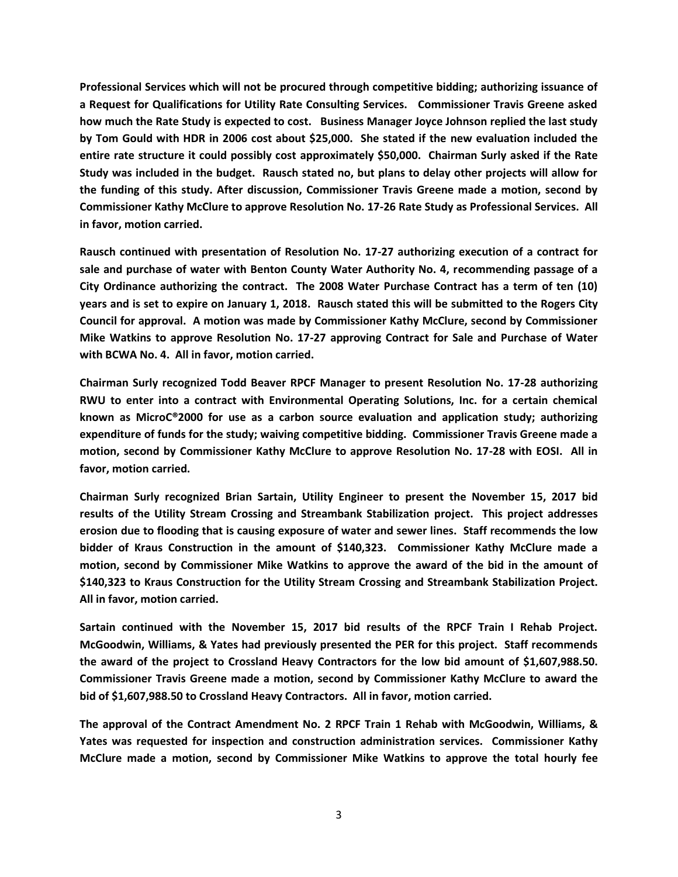**Professional Services which will not be procured through competitive bidding; authorizing issuance of a Request for Qualifications for Utility Rate Consulting Services. Commissioner Travis Greene asked how much the Rate Study is expected to cost. Business Manager Joyce Johnson replied the last study by Tom Gould with HDR in 2006 cost about \$25,000. She stated if the new evaluation included the entire rate structure it could possibly cost approximately \$50,000. Chairman Surly asked if the Rate Study was included in the budget. Rausch stated no, but plans to delay other projects will allow for the funding of this study. After discussion, Commissioner Travis Greene made a motion, second by Commissioner Kathy McClure to approve Resolution No. 17-26 Rate Study as Professional Services. All in favor, motion carried.**

**Rausch continued with presentation of Resolution No. 17-27 authorizing execution of a contract for sale and purchase of water with Benton County Water Authority No. 4, recommending passage of a City Ordinance authorizing the contract. The 2008 Water Purchase Contract has a term of ten (10) years and is set to expire on January 1, 2018. Rausch stated this will be submitted to the Rogers City Council for approval. A motion was made by Commissioner Kathy McClure, second by Commissioner Mike Watkins to approve Resolution No. 17-27 approving Contract for Sale and Purchase of Water with BCWA No. 4. All in favor, motion carried.**

**Chairman Surly recognized Todd Beaver RPCF Manager to present Resolution No. 17-28 authorizing RWU to enter into a contract with Environmental Operating Solutions, Inc. for a certain chemical known as MicroC®2000 for use as a carbon source evaluation and application study; authorizing expenditure of funds for the study; waiving competitive bidding. Commissioner Travis Greene made a motion, second by Commissioner Kathy McClure to approve Resolution No. 17-28 with EOSI. All in favor, motion carried.**

**Chairman Surly recognized Brian Sartain, Utility Engineer to present the November 15, 2017 bid results of the Utility Stream Crossing and Streambank Stabilization project. This project addresses erosion due to flooding that is causing exposure of water and sewer lines. Staff recommends the low bidder of Kraus Construction in the amount of \$140,323. Commissioner Kathy McClure made a motion, second by Commissioner Mike Watkins to approve the award of the bid in the amount of \$140,323 to Kraus Construction for the Utility Stream Crossing and Streambank Stabilization Project. All in favor, motion carried.** 

**Sartain continued with the November 15, 2017 bid results of the RPCF Train I Rehab Project. McGoodwin, Williams, & Yates had previously presented the PER for this project. Staff recommends the award of the project to Crossland Heavy Contractors for the low bid amount of \$1,607,988.50. Commissioner Travis Greene made a motion, second by Commissioner Kathy McClure to award the bid of \$1,607,988.50 to Crossland Heavy Contractors. All in favor, motion carried.**

**The approval of the Contract Amendment No. 2 RPCF Train 1 Rehab with McGoodwin, Williams, & Yates was requested for inspection and construction administration services. Commissioner Kathy McClure made a motion, second by Commissioner Mike Watkins to approve the total hourly fee**